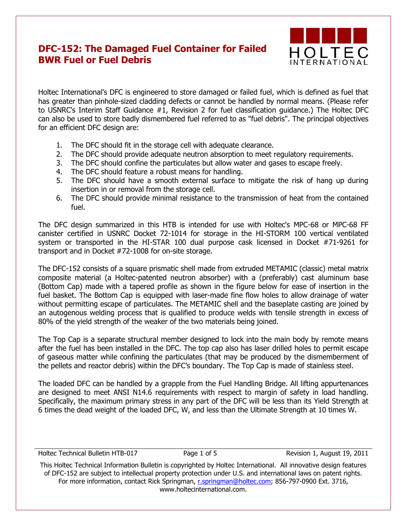## **DFC-152: The Damaged Fuel Container for Failed BWR Fuel or Fuel Debris**



Holtec International's DFC is engineered to store damaged or failed fuel, which is defined as fuel that has greater than pinhole-sized cladding defects or cannot be handled by normal means. (Please refer to USNRC's Interim Staff Guidance #1, Revision 2 for fuel classification guidance.) The Holtec DFC can also be used to store badly dismembered fuel referred to as "fuel debris". The principal objectives for an efficient DFC design are:

- 1. The DFC should fit in the storage cell with adequate clearance.
- 2. The DFC should provide adequate neutron absorption to meet regulatory requirements.
- 3. The DFC should confine the particulates but allow water and gases to escape freely.
- 4. The DFC should feature a robust means for handling.
- 5. The DFC should have a smooth external surface to mitigate the risk of hang up during insertion in or removal from the storage cell.
- 6. The DFC should provide minimal resistance to the transmission of heat from the contained fuel.

The DFC design summarized in this HTB is intended for use with Holtec's MPC-68 or MPC-68 FF canister certified in USNRC Docket 72-1014 for storage in the HI-STORM 100 vertical ventilated system or transported in the HI-STAR 100 dual purpose cask licensed in Docket #71-9261 for transport and in Docket #72-1008 for on-site storage.

The DFC-152 consists of a square prismatic shell made from extruded METAMIC (classic) metal matrix composite material (a Holtec-patented neutron absorber) with a (preferably) cast aluminum base (Bottom Cap) made with a tapered profile as shown in the figure below for ease of insertion in the fuel basket. The Bottom Cap is equipped with laser-made fine flow holes to allow drainage of water without permitting escape of particulates. The METAMIC shell and the baseplate casting are joined by an autogenous welding process that is qualified to produce welds with tensile strength in excess of 80% of the yield strength of the weaker of the two materials being joined.

The Top Cap is a separate structural member designed to lock into the main body by remote means after the fuel has been installed in the DFC. The top cap also has laser drilled holes to permit escape of gaseous matter while confining the particulates (that may be produced by the dismemberment of the pellets and reactor debris) within the DFC's boundary. The Top Cap is made of stainless steel.

The loaded DFC can be handled by a grapple from the Fuel Handling Bridge. All lifting appurtenances are designed to meet ANSI N14.6 requirements with respect to margin of safety in load handling. Specifically, the maximum primary stress in any part of the DFC will be less than its Yield Strength at 6 times the dead weight of the loaded DFC, W, and less than the Ultimate Strength at 10 times W.

Holtec Technical Bulletin HTB-017 Page 1 of 5 Revision 1, August 19, 2011

This Holtec Technical Information Bulletin is copyrighted by Holtec International. All innovative design features of DFC-152 are subject to intellectual property protection under U.S. and international laws on patent rights. For more information, contact Rick Springman, [r.springman@holtec.com;](mailto:r.springman@holtec.com) 856-797-0900 Ext. 3716, www.holtecinternational.com.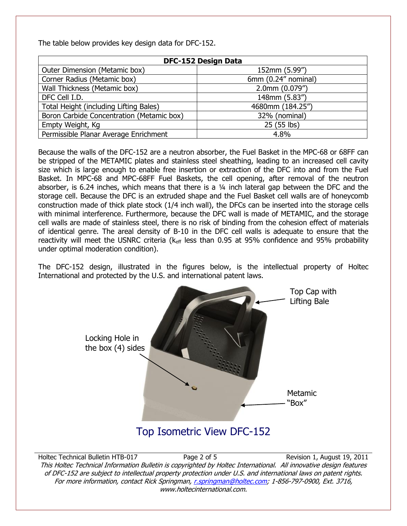The table below provides key design data for DFC-152.

| <b>DFC-152 Design Data</b>                |                        |
|-------------------------------------------|------------------------|
| Outer Dimension (Metamic box)             | 152mm (5.99")          |
| Corner Radius (Metamic box)               | 6mm $(0.24$ " nominal) |
| Wall Thickness (Metamic box)              | $2.0$ mm $(0.079")$    |
| DFC Cell I.D.                             | 148mm (5.83")          |
| Total Height (including Lifting Bales)    | 4680mm (184.25")       |
| Boron Carbide Concentration (Metamic box) | 32% (nominal)          |
| Empty Weight, Kg                          | 25 (55 lbs)            |
| Permissible Planar Average Enrichment     | 4.8%                   |

Because the walls of the DFC-152 are a neutron absorber, the Fuel Basket in the MPC-68 or 68FF can be stripped of the METAMIC plates and stainless steel sheathing, leading to an increased cell cavity size which is large enough to enable free insertion or extraction of the DFC into and from the Fuel Basket. In MPC-68 and MPC-68FF Fuel Baskets, the cell opening, after removal of the neutron absorber, is 6.24 inches, which means that there is a  $\frac{1}{4}$  inch lateral gap between the DFC and the storage cell. Because the DFC is an extruded shape and the Fuel Basket cell walls are of honeycomb construction made of thick plate stock (1/4 inch wall), the DFCs can be inserted into the storage cells with minimal interference. Furthermore, because the DFC wall is made of METAMIC, and the storage cell walls are made of stainless steel, there is no risk of binding from the cohesion effect of materials of identical genre. The areal density of B-10 in the DFC cell walls is adequate to ensure that the reactivity will meet the USNRC criteria ( $k<sub>eff</sub>$  less than 0.95 at 95% confidence and 95% probability under optimal moderation condition).

The DFC-152 design, illustrated in the figures below, is the intellectual property of Holtec International and protected by the U.S. and international patent laws.



Holtec Technical Bulletin HTB-017 Page 2 of 5 Revision 1, August 19, 2011 This Holtec Technical Information Bulletin is copyrighted by Holtec International. All innovative design features of DFC-152 are subject to intellectual property protection under U.S. and international laws on patent rights. For more information, contact Rick Springman, [r.springman@holtec.com;](mailto:r.springman@holtec.com) 1-856-797-0900, Ext. 3716, www.holtecinternational.com.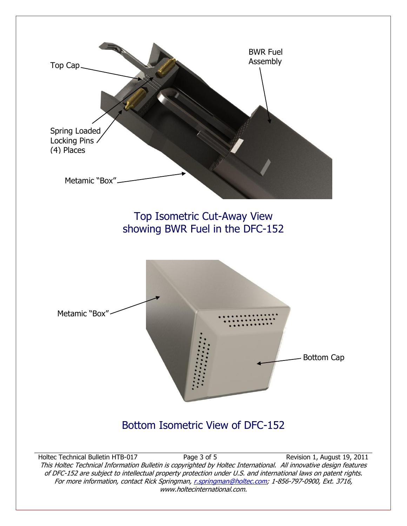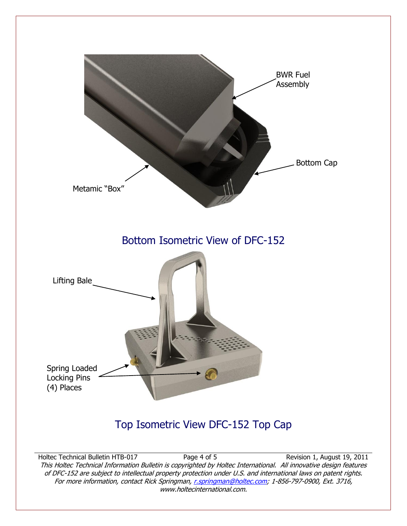